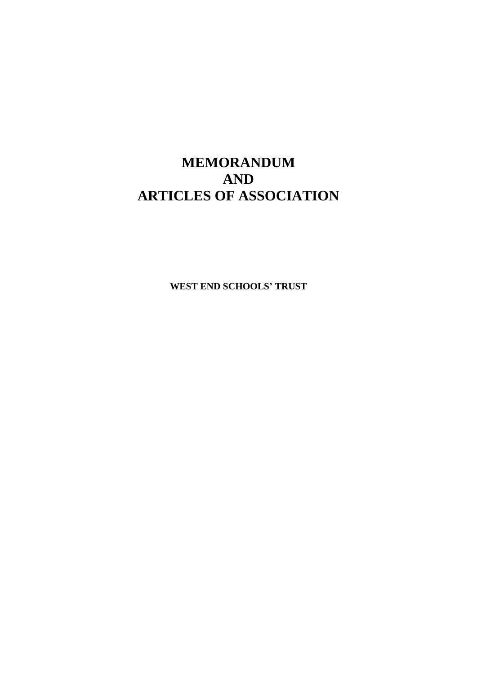# **MEMORANDUM AND ARTICLES OF ASSOCIATION**

**WEST END SCHOOLS' TRUST**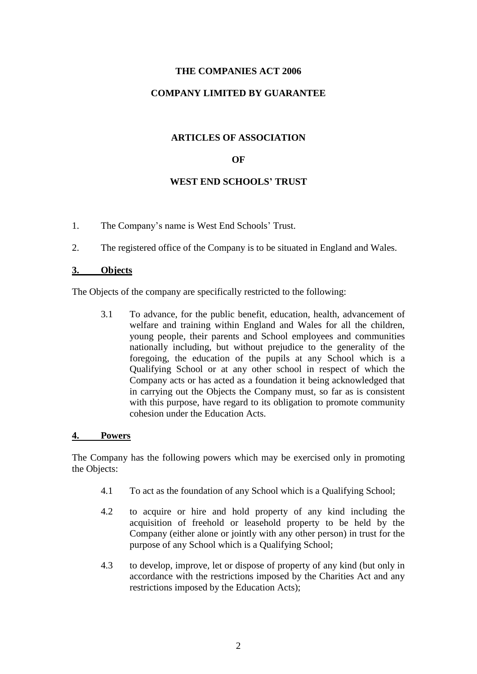# **THE COMPANIES ACT 2006**

# **COMPANY LIMITED BY GUARANTEE**

## **ARTICLES OF ASSOCIATION**

## **OF**

## **WEST END SCHOOLS' TRUST**

- 1. The Company's name is West End Schools' Trust.
- 2. The registered office of the Company is to be situated in England and Wales.

#### **3. Objects**

The Objects of the company are specifically restricted to the following:

3.1 To advance, for the public benefit, education, health, advancement of welfare and training within England and Wales for all the children, young people, their parents and School employees and communities nationally including, but without prejudice to the generality of the foregoing, the education of the pupils at any School which is a Qualifying School or at any other school in respect of which the Company acts or has acted as a foundation it being acknowledged that in carrying out the Objects the Company must, so far as is consistent with this purpose, have regard to its obligation to promote community cohesion under the Education Acts.

#### **4. Powers**

The Company has the following powers which may be exercised only in promoting the Objects:

- 4.1 To act as the foundation of any School which is a Qualifying School;
- 4.2 to acquire or hire and hold property of any kind including the acquisition of freehold or leasehold property to be held by the Company (either alone or jointly with any other person) in trust for the purpose of any School which is a Qualifying School;
- 4.3 to develop, improve, let or dispose of property of any kind (but only in accordance with the restrictions imposed by the Charities Act and any restrictions imposed by the Education Acts);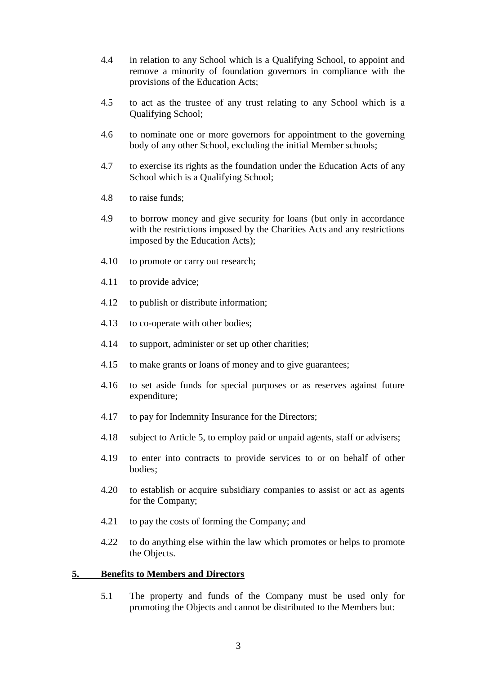- 4.4 in relation to any School which is a Qualifying School, to appoint and remove a minority of foundation governors in compliance with the provisions of the Education Acts;
- 4.5 to act as the trustee of any trust relating to any School which is a Qualifying School;
- 4.6 to nominate one or more governors for appointment to the governing body of any other School, excluding the initial Member schools;
- 4.7 to exercise its rights as the foundation under the Education Acts of any School which is a Qualifying School;
- 4.8 to raise funds;
- 4.9 to borrow money and give security for loans (but only in accordance with the restrictions imposed by the Charities Acts and any restrictions imposed by the Education Acts);
- 4.10 to promote or carry out research;
- 4.11 to provide advice;
- 4.12 to publish or distribute information;
- 4.13 to co-operate with other bodies;
- 4.14 to support, administer or set up other charities;
- 4.15 to make grants or loans of money and to give guarantees;
- 4.16 to set aside funds for special purposes or as reserves against future expenditure;
- 4.17 to pay for Indemnity Insurance for the Directors;
- 4.18 subject to Article 5, to employ paid or unpaid agents, staff or advisers;
- 4.19 to enter into contracts to provide services to or on behalf of other bodies;
- 4.20 to establish or acquire subsidiary companies to assist or act as agents for the Company;
- 4.21 to pay the costs of forming the Company; and
- 4.22 to do anything else within the law which promotes or helps to promote the Objects.

## **5. Benefits to Members and Directors**

5.1 The property and funds of the Company must be used only for promoting the Objects and cannot be distributed to the Members but: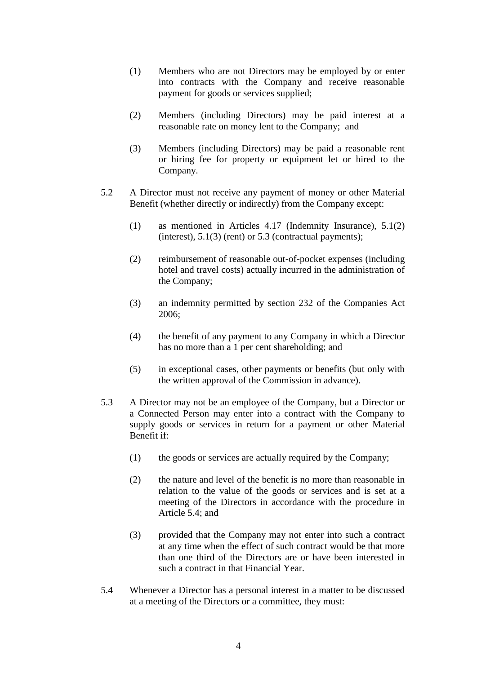- (1) Members who are not Directors may be employed by or enter into contracts with the Company and receive reasonable payment for goods or services supplied;
- (2) Members (including Directors) may be paid interest at a reasonable rate on money lent to the Company; and
- (3) Members (including Directors) may be paid a reasonable rent or hiring fee for property or equipment let or hired to the Company.
- 5.2 A Director must not receive any payment of money or other Material Benefit (whether directly or indirectly) from the Company except:
	- (1) as mentioned in Articles 4.17 (Indemnity Insurance), 5.1(2) (interest),  $5.1(3)$  (rent) or  $5.3$  (contractual payments);
	- (2) reimbursement of reasonable out-of-pocket expenses (including hotel and travel costs) actually incurred in the administration of the Company;
	- (3) an indemnity permitted by section 232 of the Companies Act 2006;
	- (4) the benefit of any payment to any Company in which a Director has no more than a 1 per cent shareholding; and
	- (5) in exceptional cases, other payments or benefits (but only with the written approval of the Commission in advance).
- 5.3 A Director may not be an employee of the Company, but a Director or a Connected Person may enter into a contract with the Company to supply goods or services in return for a payment or other Material Benefit if:
	- (1) the goods or services are actually required by the Company;
	- (2) the nature and level of the benefit is no more than reasonable in relation to the value of the goods or services and is set at a meeting of the Directors in accordance with the procedure in Article 5.4; and
	- (3) provided that the Company may not enter into such a contract at any time when the effect of such contract would be that more than one third of the Directors are or have been interested in such a contract in that Financial Year.
- 5.4 Whenever a Director has a personal interest in a matter to be discussed at a meeting of the Directors or a committee, they must: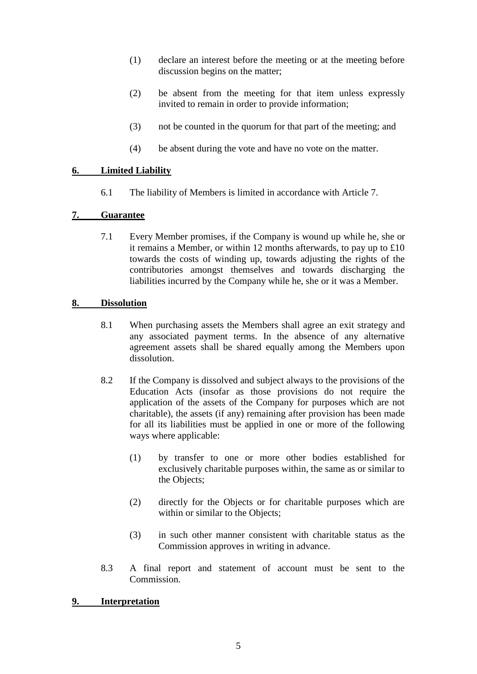- (1) declare an interest before the meeting or at the meeting before discussion begins on the matter;
- (2) be absent from the meeting for that item unless expressly invited to remain in order to provide information;
- (3) not be counted in the quorum for that part of the meeting; and
- (4) be absent during the vote and have no vote on the matter.

# **6. Limited Liability**

6.1 The liability of Members is limited in accordance with Article 7.

# **7. Guarantee**

7.1 Every Member promises, if the Company is wound up while he, she or it remains a Member, or within 12 months afterwards, to pay up to  $\pounds 10$ towards the costs of winding up, towards adjusting the rights of the contributories amongst themselves and towards discharging the liabilities incurred by the Company while he, she or it was a Member.

## **8. Dissolution**

- 8.1 When purchasing assets the Members shall agree an exit strategy and any associated payment terms. In the absence of any alternative agreement assets shall be shared equally among the Members upon dissolution.
- 8.2 If the Company is dissolved and subject always to the provisions of the Education Acts (insofar as those provisions do not require the application of the assets of the Company for purposes which are not charitable), the assets (if any) remaining after provision has been made for all its liabilities must be applied in one or more of the following ways where applicable:
	- (1) by transfer to one or more other bodies established for exclusively charitable purposes within, the same as or similar to the Objects;
	- (2) directly for the Objects or for charitable purposes which are within or similar to the Objects;
	- (3) in such other manner consistent with charitable status as the Commission approves in writing in advance.
- 8.3 A final report and statement of account must be sent to the Commission.

## **9. Interpretation**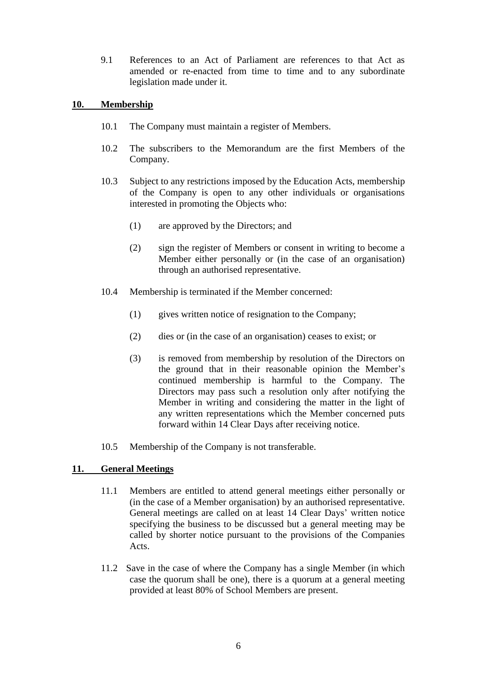9.1 References to an Act of Parliament are references to that Act as amended or re-enacted from time to time and to any subordinate legislation made under it.

## **10. Membership**

- 10.1 The Company must maintain a register of Members.
- 10.2 The subscribers to the Memorandum are the first Members of the Company.
- 10.3 Subject to any restrictions imposed by the Education Acts, membership of the Company is open to any other individuals or organisations interested in promoting the Objects who:
	- (1) are approved by the Directors; and
	- (2) sign the register of Members or consent in writing to become a Member either personally or (in the case of an organisation) through an authorised representative.
- 10.4 Membership is terminated if the Member concerned:
	- (1) gives written notice of resignation to the Company;
	- (2) dies or (in the case of an organisation) ceases to exist; or
	- (3) is removed from membership by resolution of the Directors on the ground that in their reasonable opinion the Member's continued membership is harmful to the Company. The Directors may pass such a resolution only after notifying the Member in writing and considering the matter in the light of any written representations which the Member concerned puts forward within 14 Clear Days after receiving notice.
- 10.5 Membership of the Company is not transferable.

# **11. General Meetings**

- 11.1 Members are entitled to attend general meetings either personally or (in the case of a Member organisation) by an authorised representative. General meetings are called on at least 14 Clear Days' written notice specifying the business to be discussed but a general meeting may be called by shorter notice pursuant to the provisions of the Companies Acts.
- 11.2 Save in the case of where the Company has a single Member (in which case the quorum shall be one), there is a quorum at a general meeting provided at least 80% of School Members are present.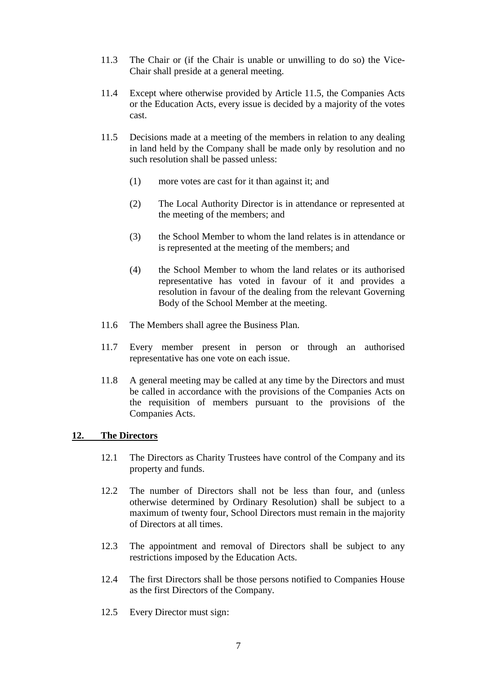- 11.3 The Chair or (if the Chair is unable or unwilling to do so) the Vice-Chair shall preside at a general meeting.
- 11.4 Except where otherwise provided by Article 11.5, the Companies Acts or the Education Acts, every issue is decided by a majority of the votes cast.
- 11.5 Decisions made at a meeting of the members in relation to any dealing in land held by the Company shall be made only by resolution and no such resolution shall be passed unless:
	- (1) more votes are cast for it than against it; and
	- (2) The Local Authority Director is in attendance or represented at the meeting of the members; and
	- (3) the School Member to whom the land relates is in attendance or is represented at the meeting of the members; and
	- (4) the School Member to whom the land relates or its authorised representative has voted in favour of it and provides a resolution in favour of the dealing from the relevant Governing Body of the School Member at the meeting.
- 11.6 The Members shall agree the Business Plan.
- 11.7 Every member present in person or through an authorised representative has one vote on each issue.
- 11.8 A general meeting may be called at any time by the Directors and must be called in accordance with the provisions of the Companies Acts on the requisition of members pursuant to the provisions of the Companies Acts.

## **12. The Directors**

- 12.1 The Directors as Charity Trustees have control of the Company and its property and funds.
- 12.2 The number of Directors shall not be less than four, and (unless otherwise determined by Ordinary Resolution) shall be subject to a maximum of twenty four, School Directors must remain in the majority of Directors at all times.
- 12.3 The appointment and removal of Directors shall be subject to any restrictions imposed by the Education Acts.
- 12.4 The first Directors shall be those persons notified to Companies House as the first Directors of the Company.
- 12.5 Every Director must sign: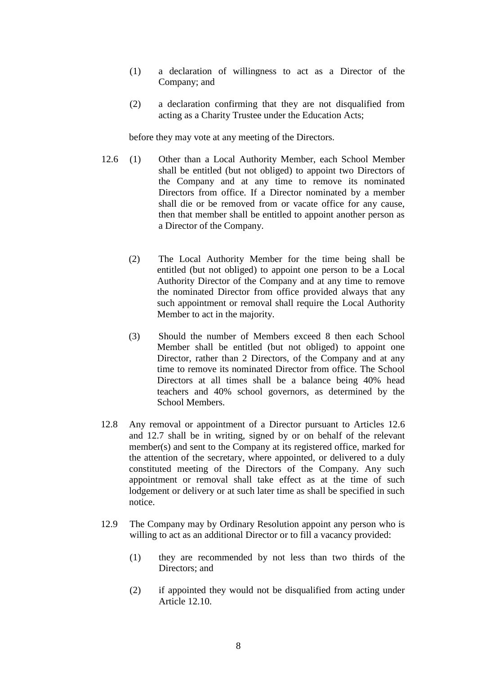- (1) a declaration of willingness to act as a Director of the Company; and
- (2) a declaration confirming that they are not disqualified from acting as a Charity Trustee under the Education Acts;

before they may vote at any meeting of the Directors.

- 12.6 (1) Other than a Local Authority Member, each School Member shall be entitled (but not obliged) to appoint two Directors of the Company and at any time to remove its nominated Directors from office. If a Director nominated by a member shall die or be removed from or vacate office for any cause, then that member shall be entitled to appoint another person as a Director of the Company.
	- (2) The Local Authority Member for the time being shall be entitled (but not obliged) to appoint one person to be a Local Authority Director of the Company and at any time to remove the nominated Director from office provided always that any such appointment or removal shall require the Local Authority Member to act in the majority.
	- (3) Should the number of Members exceed 8 then each School Member shall be entitled (but not obliged) to appoint one Director, rather than 2 Directors, of the Company and at any time to remove its nominated Director from office. The School Directors at all times shall be a balance being 40% head teachers and 40% school governors, as determined by the School Members.
- 12.8 Any removal or appointment of a Director pursuant to Articles 12.6 and 12.7 shall be in writing, signed by or on behalf of the relevant member(s) and sent to the Company at its registered office, marked for the attention of the secretary, where appointed, or delivered to a duly constituted meeting of the Directors of the Company. Any such appointment or removal shall take effect as at the time of such lodgement or delivery or at such later time as shall be specified in such notice.
- 12.9 The Company may by Ordinary Resolution appoint any person who is willing to act as an additional Director or to fill a vacancy provided:
	- (1) they are recommended by not less than two thirds of the Directors; and
	- (2) if appointed they would not be disqualified from acting under Article 12.10.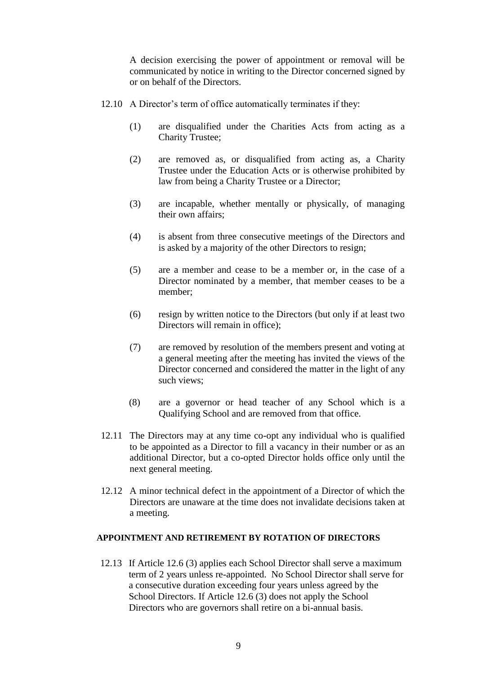A decision exercising the power of appointment or removal will be communicated by notice in writing to the Director concerned signed by or on behalf of the Directors.

- 12.10 A Director's term of office automatically terminates if they:
	- (1) are disqualified under the Charities Acts from acting as a Charity Trustee;
	- (2) are removed as, or disqualified from acting as, a Charity Trustee under the Education Acts or is otherwise prohibited by law from being a Charity Trustee or a Director;
	- (3) are incapable, whether mentally or physically, of managing their own affairs;
	- (4) is absent from three consecutive meetings of the Directors and is asked by a majority of the other Directors to resign;
	- (5) are a member and cease to be a member or, in the case of a Director nominated by a member, that member ceases to be a member;
	- (6) resign by written notice to the Directors (but only if at least two Directors will remain in office);
	- (7) are removed by resolution of the members present and voting at a general meeting after the meeting has invited the views of the Director concerned and considered the matter in the light of any such views;
	- (8) are a governor or head teacher of any School which is a Qualifying School and are removed from that office.
- 12.11 The Directors may at any time co-opt any individual who is qualified to be appointed as a Director to fill a vacancy in their number or as an additional Director, but a co-opted Director holds office only until the next general meeting.
- 12.12 A minor technical defect in the appointment of a Director of which the Directors are unaware at the time does not invalidate decisions taken at a meeting.

#### **APPOINTMENT AND RETIREMENT BY ROTATION OF DIRECTORS**

12.13 If Article 12.6 (3) applies each School Director shall serve a maximum term of 2 years unless re-appointed. No School Director shall serve for a consecutive duration exceeding four years unless agreed by the School Directors. If Article 12.6 (3) does not apply the School Directors who are governors shall retire on a bi-annual basis.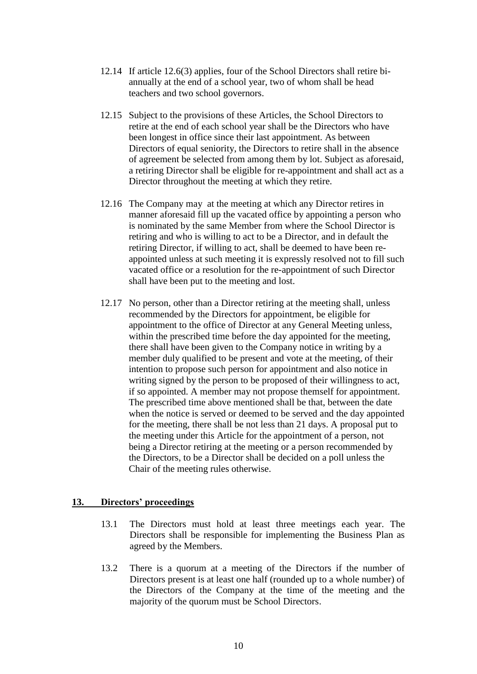- 12.14 If article 12.6(3) applies, four of the School Directors shall retire biannually at the end of a school year, two of whom shall be head teachers and two school governors.
- 12.15 Subject to the provisions of these Articles, the School Directors to retire at the end of each school year shall be the Directors who have been longest in office since their last appointment. As between Directors of equal seniority, the Directors to retire shall in the absence of agreement be selected from among them by lot. Subject as aforesaid, a retiring Director shall be eligible for re-appointment and shall act as a Director throughout the meeting at which they retire.
- 12.16 The Company may at the meeting at which any Director retires in manner aforesaid fill up the vacated office by appointing a person who is nominated by the same Member from where the School Director is retiring and who is willing to act to be a Director, and in default the retiring Director, if willing to act, shall be deemed to have been reappointed unless at such meeting it is expressly resolved not to fill such vacated office or a resolution for the re-appointment of such Director shall have been put to the meeting and lost.
- 12.17 No person, other than a Director retiring at the meeting shall, unless recommended by the Directors for appointment, be eligible for appointment to the office of Director at any General Meeting unless, within the prescribed time before the day appointed for the meeting, there shall have been given to the Company notice in writing by a member duly qualified to be present and vote at the meeting, of their intention to propose such person for appointment and also notice in writing signed by the person to be proposed of their willingness to act, if so appointed. A member may not propose themself for appointment. The prescribed time above mentioned shall be that, between the date when the notice is served or deemed to be served and the day appointed for the meeting, there shall be not less than 21 days. A proposal put to the meeting under this Article for the appointment of a person, not being a Director retiring at the meeting or a person recommended by the Directors, to be a Director shall be decided on a poll unless the Chair of the meeting rules otherwise.

## **13. Directors' proceedings**

- 13.1 The Directors must hold at least three meetings each year. The Directors shall be responsible for implementing the Business Plan as agreed by the Members.
- 13.2 There is a quorum at a meeting of the Directors if the number of Directors present is at least one half (rounded up to a whole number) of the Directors of the Company at the time of the meeting and the majority of the quorum must be School Directors.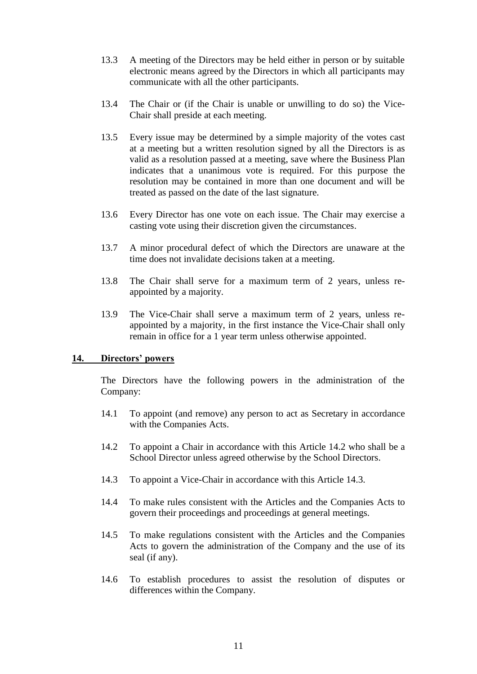- 13.3 A meeting of the Directors may be held either in person or by suitable electronic means agreed by the Directors in which all participants may communicate with all the other participants.
- 13.4 The Chair or (if the Chair is unable or unwilling to do so) the Vice-Chair shall preside at each meeting.
- 13.5 Every issue may be determined by a simple majority of the votes cast at a meeting but a written resolution signed by all the Directors is as valid as a resolution passed at a meeting, save where the Business Plan indicates that a unanimous vote is required. For this purpose the resolution may be contained in more than one document and will be treated as passed on the date of the last signature.
- 13.6 Every Director has one vote on each issue. The Chair may exercise a casting vote using their discretion given the circumstances.
- 13.7 A minor procedural defect of which the Directors are unaware at the time does not invalidate decisions taken at a meeting.
- 13.8 The Chair shall serve for a maximum term of 2 years, unless reappointed by a majority.
- 13.9 The Vice-Chair shall serve a maximum term of 2 years, unless reappointed by a majority, in the first instance the Vice-Chair shall only remain in office for a 1 year term unless otherwise appointed.

## **14. Directors' powers**

The Directors have the following powers in the administration of the Company:

- 14.1 To appoint (and remove) any person to act as Secretary in accordance with the Companies Acts.
- 14.2 To appoint a Chair in accordance with this Article 14.2 who shall be a School Director unless agreed otherwise by the School Directors.
- 14.3 To appoint a Vice-Chair in accordance with this Article 14.3.
- 14.4 To make rules consistent with the Articles and the Companies Acts to govern their proceedings and proceedings at general meetings.
- 14.5 To make regulations consistent with the Articles and the Companies Acts to govern the administration of the Company and the use of its seal (if any).
- 14.6 To establish procedures to assist the resolution of disputes or differences within the Company.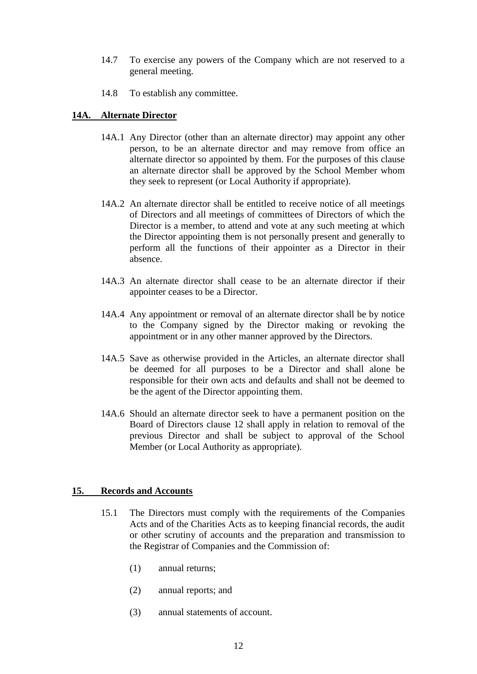- 14.7 To exercise any powers of the Company which are not reserved to a general meeting.
- 14.8 To establish any committee.

## **14A. Alternate Director**

- 14A.1 Any Director (other than an alternate director) may appoint any other person, to be an alternate director and may remove from office an alternate director so appointed by them. For the purposes of this clause an alternate director shall be approved by the School Member whom they seek to represent (or Local Authority if appropriate).
- 14A.2 An alternate director shall be entitled to receive notice of all meetings of Directors and all meetings of committees of Directors of which the Director is a member, to attend and vote at any such meeting at which the Director appointing them is not personally present and generally to perform all the functions of their appointer as a Director in their absence.
- 14A.3 An alternate director shall cease to be an alternate director if their appointer ceases to be a Director.
- 14A.4 Any appointment or removal of an alternate director shall be by notice to the Company signed by the Director making or revoking the appointment or in any other manner approved by the Directors.
- 14A.5 Save as otherwise provided in the Articles, an alternate director shall be deemed for all purposes to be a Director and shall alone be responsible for their own acts and defaults and shall not be deemed to be the agent of the Director appointing them.
- 14A.6 Should an alternate director seek to have a permanent position on the Board of Directors clause 12 shall apply in relation to removal of the previous Director and shall be subject to approval of the School Member (or Local Authority as appropriate).

## **15. Records and Accounts**

- 15.1 The Directors must comply with the requirements of the Companies Acts and of the Charities Acts as to keeping financial records, the audit or other scrutiny of accounts and the preparation and transmission to the Registrar of Companies and the Commission of:
	- (1) annual returns;
	- (2) annual reports; and
	- (3) annual statements of account.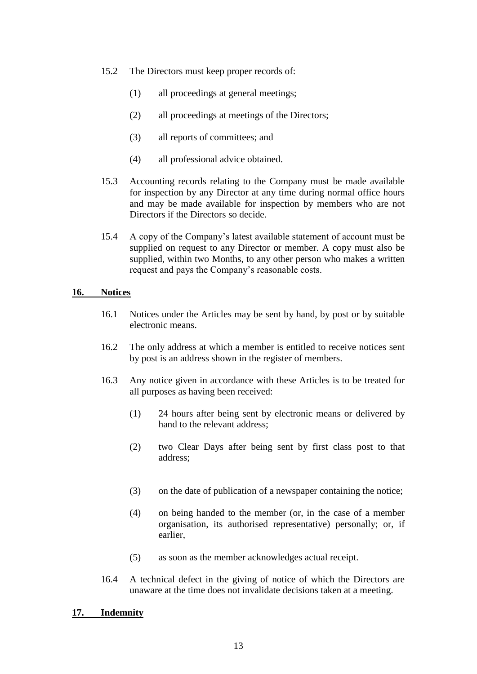- 15.2 The Directors must keep proper records of:
	- (1) all proceedings at general meetings;
	- (2) all proceedings at meetings of the Directors;
	- (3) all reports of committees; and
	- (4) all professional advice obtained.
- 15.3 Accounting records relating to the Company must be made available for inspection by any Director at any time during normal office hours and may be made available for inspection by members who are not Directors if the Directors so decide.
- 15.4 A copy of the Company's latest available statement of account must be supplied on request to any Director or member. A copy must also be supplied, within two Months, to any other person who makes a written request and pays the Company's reasonable costs.

## **16. Notices**

- 16.1 Notices under the Articles may be sent by hand, by post or by suitable electronic means.
- 16.2 The only address at which a member is entitled to receive notices sent by post is an address shown in the register of members.
- 16.3 Any notice given in accordance with these Articles is to be treated for all purposes as having been received:
	- (1) 24 hours after being sent by electronic means or delivered by hand to the relevant address;
	- (2) two Clear Days after being sent by first class post to that address;
	- (3) on the date of publication of a newspaper containing the notice;
	- (4) on being handed to the member (or, in the case of a member organisation, its authorised representative) personally; or, if earlier,
	- (5) as soon as the member acknowledges actual receipt.
- 16.4 A technical defect in the giving of notice of which the Directors are unaware at the time does not invalidate decisions taken at a meeting.

## **17. Indemnity**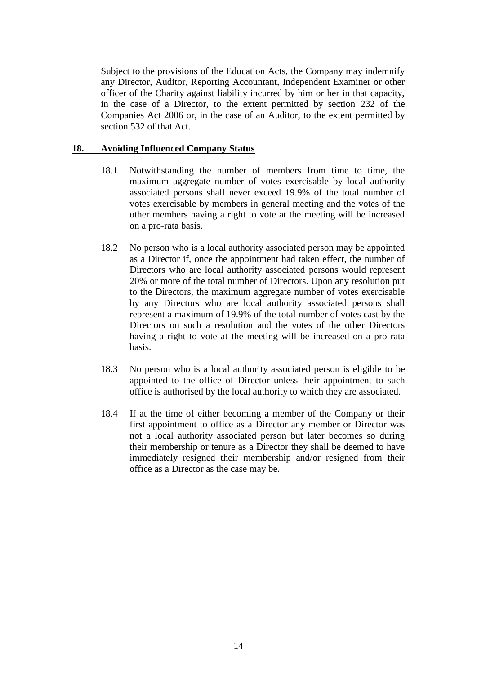Subject to the provisions of the Education Acts, the Company may indemnify any Director, Auditor, Reporting Accountant, Independent Examiner or other officer of the Charity against liability incurred by him or her in that capacity, in the case of a Director, to the extent permitted by section 232 of the Companies Act 2006 or, in the case of an Auditor, to the extent permitted by section 532 of that Act.

#### **18. Avoiding Influenced Company Status**

- 18.1 Notwithstanding the number of members from time to time, the maximum aggregate number of votes exercisable by local authority associated persons shall never exceed 19.9% of the total number of votes exercisable by members in general meeting and the votes of the other members having a right to vote at the meeting will be increased on a pro-rata basis.
- 18.2 No person who is a local authority associated person may be appointed as a Director if, once the appointment had taken effect, the number of Directors who are local authority associated persons would represent 20% or more of the total number of Directors. Upon any resolution put to the Directors, the maximum aggregate number of votes exercisable by any Directors who are local authority associated persons shall represent a maximum of 19.9% of the total number of votes cast by the Directors on such a resolution and the votes of the other Directors having a right to vote at the meeting will be increased on a pro-rata basis.
- 18.3 No person who is a local authority associated person is eligible to be appointed to the office of Director unless their appointment to such office is authorised by the local authority to which they are associated.
- 18.4 If at the time of either becoming a member of the Company or their first appointment to office as a Director any member or Director was not a local authority associated person but later becomes so during their membership or tenure as a Director they shall be deemed to have immediately resigned their membership and/or resigned from their office as a Director as the case may be.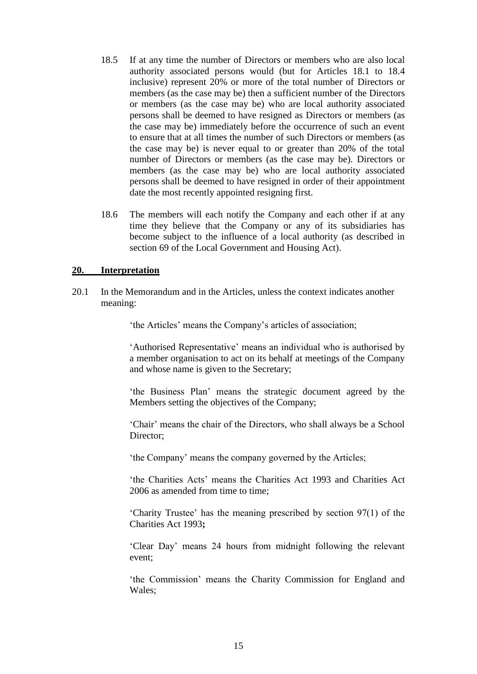- 18.5 If at any time the number of Directors or members who are also local authority associated persons would (but for Articles 18.1 to 18.4 inclusive) represent 20% or more of the total number of Directors or members (as the case may be) then a sufficient number of the Directors or members (as the case may be) who are local authority associated persons shall be deemed to have resigned as Directors or members (as the case may be) immediately before the occurrence of such an event to ensure that at all times the number of such Directors or members (as the case may be) is never equal to or greater than 20% of the total number of Directors or members (as the case may be). Directors or members (as the case may be) who are local authority associated persons shall be deemed to have resigned in order of their appointment date the most recently appointed resigning first.
- 18.6 The members will each notify the Company and each other if at any time they believe that the Company or any of its subsidiaries has become subject to the influence of a local authority (as described in section 69 of the Local Government and Housing Act).

## **20. Interpretation**

20.1 In the Memorandum and in the Articles, unless the context indicates another meaning:

'the Articles' means the Company's articles of association;

'Authorised Representative' means an individual who is authorised by a member organisation to act on its behalf at meetings of the Company and whose name is given to the Secretary;

'the Business Plan' means the strategic document agreed by the Members setting the objectives of the Company;

'Chair' means the chair of the Directors, who shall always be a School Director;

'the Company' means the company governed by the Articles;

'the Charities Acts' means the Charities Act 1993 and Charities Act 2006 as amended from time to time;

'Charity Trustee' has the meaning prescribed by section 97(1) of the Charities Act 1993**;** 

'Clear Day' means 24 hours from midnight following the relevant event;

'the Commission' means the Charity Commission for England and Wales;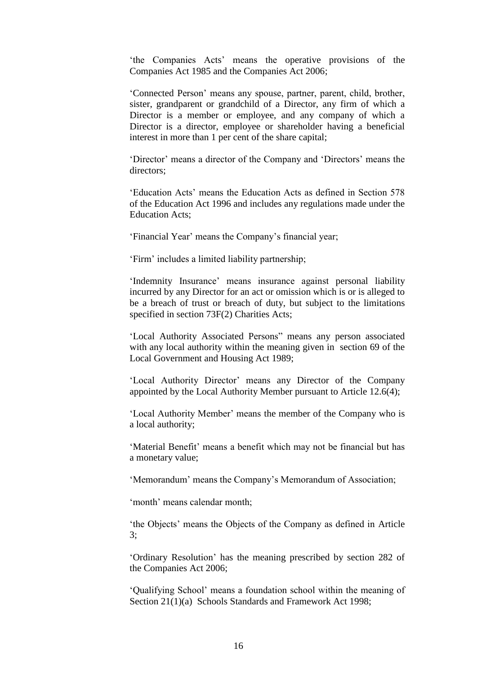'the Companies Acts' means the operative provisions of the Companies Act 1985 and the Companies Act 2006;

'Connected Person' means any spouse, partner, parent, child, brother, sister, grandparent or grandchild of a Director, any firm of which a Director is a member or employee, and any company of which a Director is a director, employee or shareholder having a beneficial interest in more than 1 per cent of the share capital;

'Director' means a director of the Company and 'Directors' means the directors;

'Education Acts' means the Education Acts as defined in Section 578 of the Education Act 1996 and includes any regulations made under the Education Acts;

'Financial Year' means the Company's financial year;

'Firm' includes a limited liability partnership;

'Indemnity Insurance' means insurance against personal liability incurred by any Director for an act or omission which is or is alleged to be a breach of trust or breach of duty, but subject to the limitations specified in section 73F(2) Charities Acts;

'Local Authority Associated Persons" means any person associated with any local authority within the meaning given in section 69 of the Local Government and Housing Act 1989;

'Local Authority Director' means any Director of the Company appointed by the Local Authority Member pursuant to Article 12.6(4);

'Local Authority Member' means the member of the Company who is a local authority;

'Material Benefit' means a benefit which may not be financial but has a monetary value;

'Memorandum' means the Company's Memorandum of Association;

'month' means calendar month;

'the Objects' means the Objects of the Company as defined in Article 3;

'Ordinary Resolution' has the meaning prescribed by section 282 of the Companies Act 2006;

'Qualifying School' means a foundation school within the meaning of Section 21(1)(a) Schools Standards and Framework Act 1998;